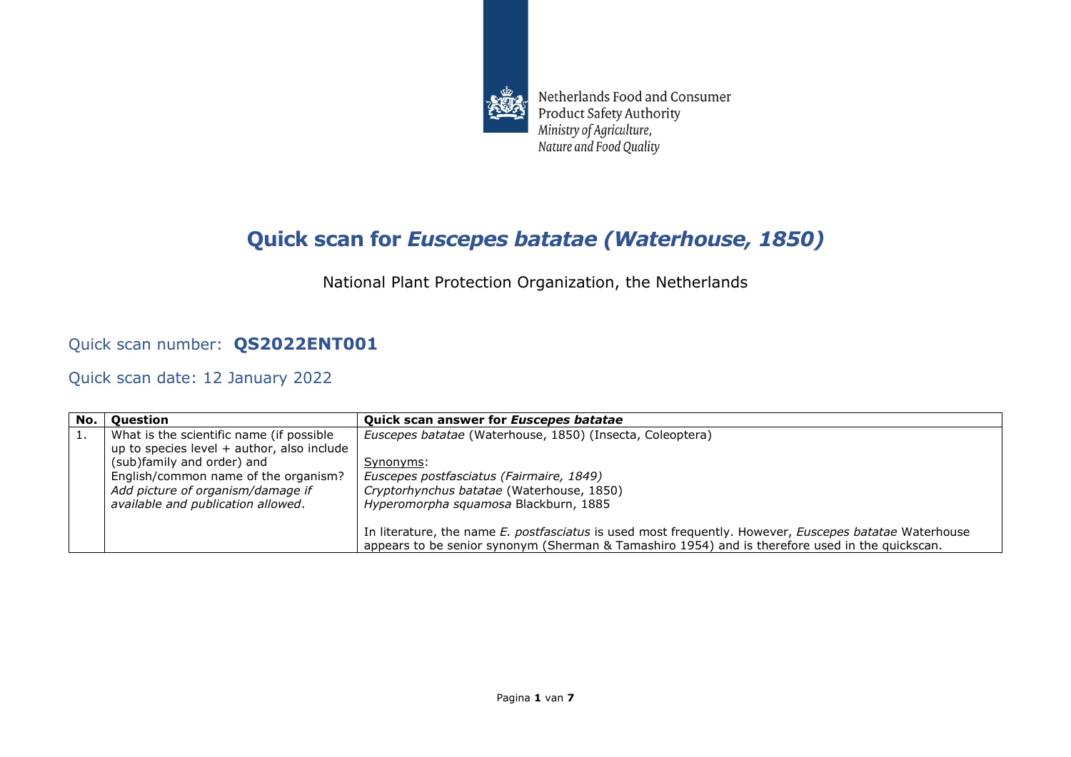

Netherlands Food and Consumer **Product Safety Authority** Ministry of Agriculture, Nature and Food Quality

## **Quick scan for** *Euscepes batatae (Waterhouse, 1850)*

National Plant Protection Organization, the Netherlands

## Quick scan number: **QS2022ENT001**

Quick scan date: 12 January 2022

| No. | Ouestion                                     | Quick scan answer for Euscepes batatae                                                                 |
|-----|----------------------------------------------|--------------------------------------------------------------------------------------------------------|
| 1.  | What is the scientific name (if possible     | Euscepes batatae (Waterhouse, 1850) (Insecta, Coleoptera)                                              |
|     | up to species level $+$ author, also include |                                                                                                        |
|     | (sub)family and order) and                   | Synonyms:                                                                                              |
|     | English/common name of the organism?         | Euscepes postfasciatus (Fairmaire, 1849)                                                               |
|     | Add picture of organism/damage if            | Cryptorhynchus batatae (Waterhouse, 1850)                                                              |
|     | available and publication allowed.           | Hyperomorpha squamosa Blackburn, 1885                                                                  |
|     |                                              |                                                                                                        |
|     |                                              | In literature, the name E. postfasciatus is used most frequently. However, Euscepes batatae Waterhouse |
|     |                                              | appears to be senior synonym (Sherman & Tamashiro 1954) and is therefore used in the quickscan.        |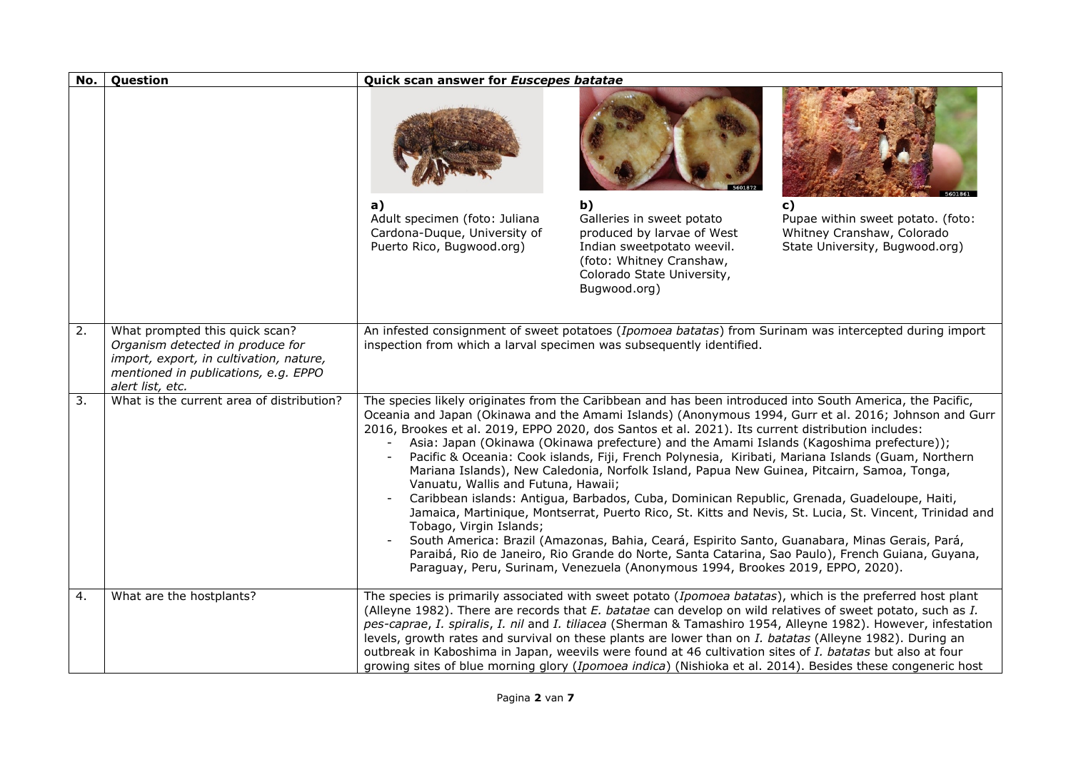| No. | Question                                                                                                                                                                  | Quick scan answer for Euscepes batatae                                                                                                                                                                                                                                           |                                                                                                                                                                                                                                                                                                                                                                                                                                                                          |                                                                                                                                                                                                                                                                                                                                                                                                                                                           |
|-----|---------------------------------------------------------------------------------------------------------------------------------------------------------------------------|----------------------------------------------------------------------------------------------------------------------------------------------------------------------------------------------------------------------------------------------------------------------------------|--------------------------------------------------------------------------------------------------------------------------------------------------------------------------------------------------------------------------------------------------------------------------------------------------------------------------------------------------------------------------------------------------------------------------------------------------------------------------|-----------------------------------------------------------------------------------------------------------------------------------------------------------------------------------------------------------------------------------------------------------------------------------------------------------------------------------------------------------------------------------------------------------------------------------------------------------|
|     |                                                                                                                                                                           |                                                                                                                                                                                                                                                                                  |                                                                                                                                                                                                                                                                                                                                                                                                                                                                          |                                                                                                                                                                                                                                                                                                                                                                                                                                                           |
|     |                                                                                                                                                                           | a)<br>Adult specimen (foto: Juliana<br>Cardona-Duque, University of<br>Puerto Rico, Bugwood.org)                                                                                                                                                                                 | b)<br>Galleries in sweet potato<br>produced by larvae of West<br>Indian sweetpotato weevil.<br>(foto: Whitney Cranshaw,<br>Colorado State University,<br>Bugwood.org)                                                                                                                                                                                                                                                                                                    | $\mathbf{c}$<br>Pupae within sweet potato. (foto:<br>Whitney Cranshaw, Colorado<br>State University, Bugwood.org)                                                                                                                                                                                                                                                                                                                                         |
| 2.  | What prompted this quick scan?<br>Organism detected in produce for<br>import, export, in cultivation, nature,<br>mentioned in publications, e.g. EPPO<br>alert list, etc. | inspection from which a larval specimen was subsequently identified.                                                                                                                                                                                                             |                                                                                                                                                                                                                                                                                                                                                                                                                                                                          | An infested consignment of sweet potatoes (Ipomoea batatas) from Surinam was intercepted during import                                                                                                                                                                                                                                                                                                                                                    |
| 3.  | What is the current area of distribution?                                                                                                                                 | The species likely originates from the Caribbean and has been introduced into South America, the Pacific,<br>2016, Brookes et al. 2019, EPPO 2020, dos Santos et al. 2021). Its current distribution includes:<br>Vanuatu, Wallis and Futuna, Hawaii;<br>Tobago, Virgin Islands; | Asia: Japan (Okinawa (Okinawa prefecture) and the Amami Islands (Kagoshima prefecture));<br>Mariana Islands), New Caledonia, Norfolk Island, Papua New Guinea, Pitcairn, Samoa, Tonga,<br>Caribbean islands: Antigua, Barbados, Cuba, Dominican Republic, Grenada, Guadeloupe, Haiti,<br>South America: Brazil (Amazonas, Bahia, Ceará, Espirito Santo, Guanabara, Minas Gerais, Pará,<br>Paraguay, Peru, Surinam, Venezuela (Anonymous 1994, Brookes 2019, EPPO, 2020). | Oceania and Japan (Okinawa and the Amami Islands) (Anonymous 1994, Gurr et al. 2016; Johnson and Gurr<br>Pacific & Oceania: Cook islands, Fiji, French Polynesia, Kiribati, Mariana Islands (Guam, Northern<br>Jamaica, Martinique, Montserrat, Puerto Rico, St. Kitts and Nevis, St. Lucia, St. Vincent, Trinidad and<br>Paraibá, Rio de Janeiro, Rio Grande do Norte, Santa Catarina, Sao Paulo), French Guiana, Guyana,                                |
| 4.  | What are the hostplants?                                                                                                                                                  | levels, growth rates and survival on these plants are lower than on I. batatas (Alleyne 1982). During an<br>outbreak in Kaboshima in Japan, weevils were found at 46 cultivation sites of I. batatas but also at four                                                            |                                                                                                                                                                                                                                                                                                                                                                                                                                                                          | The species is primarily associated with sweet potato (Ipomoea batatas), which is the preferred host plant<br>(Alleyne 1982). There are records that E. batatae can develop on wild relatives of sweet potato, such as I.<br>pes-caprae, I. spiralis, I. nil and I. tiliacea (Sherman & Tamashiro 1954, Alleyne 1982). However, infestation<br>growing sites of blue morning glory (Ipomoea indica) (Nishioka et al. 2014). Besides these congeneric host |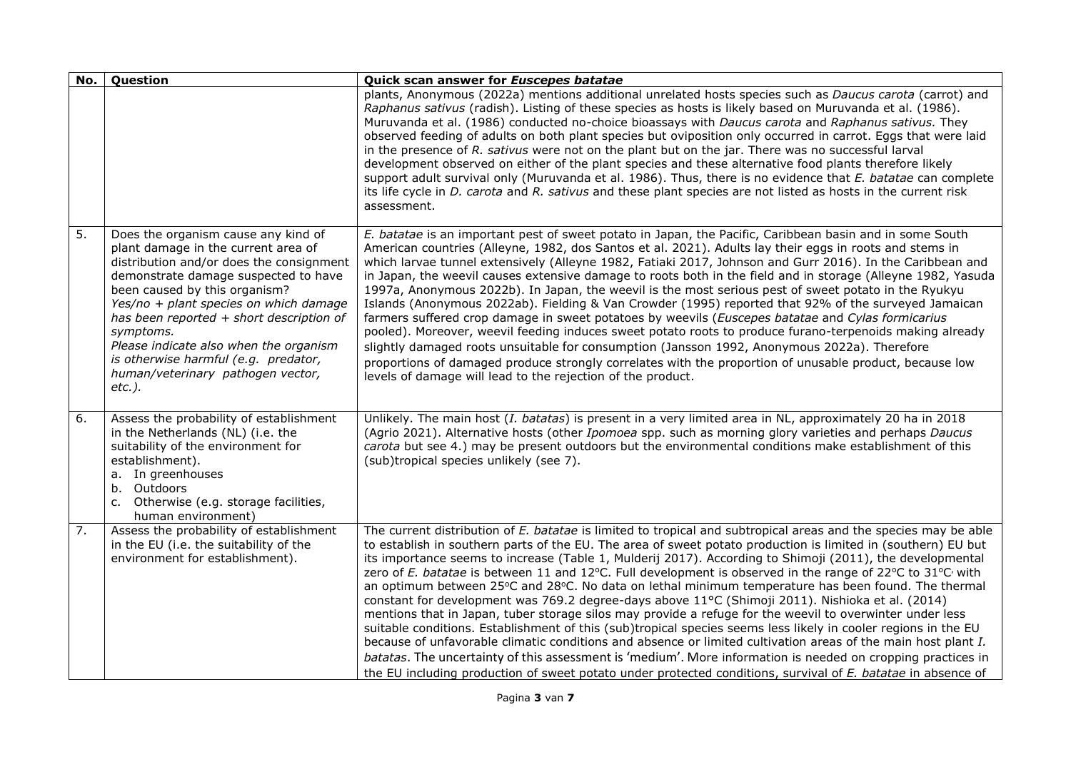| No. | Question                                                                                                                                                                                                                                                                                                                                                                                                                               | Quick scan answer for Euscepes batatae                                                                                                                                                                                                                                                                                                                                                                                                                                                                                                                                                                                                                                                                                                                                                                                                                                                                                                                                                                                                                                                                                                                                                                                                               |
|-----|----------------------------------------------------------------------------------------------------------------------------------------------------------------------------------------------------------------------------------------------------------------------------------------------------------------------------------------------------------------------------------------------------------------------------------------|------------------------------------------------------------------------------------------------------------------------------------------------------------------------------------------------------------------------------------------------------------------------------------------------------------------------------------------------------------------------------------------------------------------------------------------------------------------------------------------------------------------------------------------------------------------------------------------------------------------------------------------------------------------------------------------------------------------------------------------------------------------------------------------------------------------------------------------------------------------------------------------------------------------------------------------------------------------------------------------------------------------------------------------------------------------------------------------------------------------------------------------------------------------------------------------------------------------------------------------------------|
|     |                                                                                                                                                                                                                                                                                                                                                                                                                                        | plants, Anonymous (2022a) mentions additional unrelated hosts species such as Daucus carota (carrot) and<br>Raphanus sativus (radish). Listing of these species as hosts is likely based on Muruvanda et al. (1986).<br>Muruvanda et al. (1986) conducted no-choice bioassays with Daucus carota and Raphanus sativus. They<br>observed feeding of adults on both plant species but oviposition only occurred in carrot. Eggs that were laid<br>in the presence of R. sativus were not on the plant but on the jar. There was no successful larval<br>development observed on either of the plant species and these alternative food plants therefore likely<br>support adult survival only (Muruvanda et al. 1986). Thus, there is no evidence that E. batatae can complete<br>its life cycle in <i>D. carota</i> and <i>R. sativus</i> and these plant species are not listed as hosts in the current risk<br>assessment.                                                                                                                                                                                                                                                                                                                          |
| 5.  | Does the organism cause any kind of<br>plant damage in the current area of<br>distribution and/or does the consignment<br>demonstrate damage suspected to have<br>been caused by this organism?<br>Yes/no + plant species on which damage<br>has been reported + short description of<br>symptoms.<br>Please indicate also when the organism<br>is otherwise harmful (e.g. predator,<br>human/veterinary pathogen vector,<br>$etc.$ ). | E. batatae is an important pest of sweet potato in Japan, the Pacific, Caribbean basin and in some South<br>American countries (Alleyne, 1982, dos Santos et al. 2021). Adults lay their eggs in roots and stems in<br>which larvae tunnel extensively (Alleyne 1982, Fatiaki 2017, Johnson and Gurr 2016). In the Caribbean and<br>in Japan, the weevil causes extensive damage to roots both in the field and in storage (Alleyne 1982, Yasuda<br>1997a, Anonymous 2022b). In Japan, the weevil is the most serious pest of sweet potato in the Ryukyu<br>Islands (Anonymous 2022ab). Fielding & Van Crowder (1995) reported that 92% of the surveyed Jamaican<br>farmers suffered crop damage in sweet potatoes by weevils (Euscepes batatae and Cylas formicarius<br>pooled). Moreover, weevil feeding induces sweet potato roots to produce furano-terpenoids making already<br>slightly damaged roots unsuitable for consumption (Jansson 1992, Anonymous 2022a). Therefore<br>proportions of damaged produce strongly correlates with the proportion of unusable product, because low<br>levels of damage will lead to the rejection of the product.                                                                                          |
| 6.  | Assess the probability of establishment<br>in the Netherlands (NL) (i.e. the<br>suitability of the environment for<br>establishment).<br>a. In greenhouses<br>b. Outdoors<br>c. Otherwise (e.g. storage facilities,<br>human environment)                                                                                                                                                                                              | Unlikely. The main host (I. batatas) is present in a very limited area in NL, approximately 20 ha in 2018<br>(Agrio 2021). Alternative hosts (other Ipomoea spp. such as morning glory varieties and perhaps Daucus<br>carota but see 4.) may be present outdoors but the environmental conditions make establishment of this<br>(sub)tropical species unlikely (see 7).                                                                                                                                                                                                                                                                                                                                                                                                                                                                                                                                                                                                                                                                                                                                                                                                                                                                             |
| 7.  | Assess the probability of establishment<br>in the EU (i.e. the suitability of the<br>environment for establishment).                                                                                                                                                                                                                                                                                                                   | The current distribution of E. batatae is limited to tropical and subtropical areas and the species may be able<br>to establish in southern parts of the EU. The area of sweet potato production is limited in (southern) EU but<br>its importance seems to increase (Table 1, Mulderij 2017). According to Shimoji (2011), the developmental<br>zero of E. batatae is between 11 and 12°C. Full development is observed in the range of 22°C to 31°C with<br>an optimum between 25°C and 28°C. No data on lethal minimum temperature has been found. The thermal<br>constant for development was 769.2 degree-days above 11°C (Shimoji 2011). Nishioka et al. (2014)<br>mentions that in Japan, tuber storage silos may provide a refuge for the weevil to overwinter under less<br>suitable conditions. Establishment of this (sub)tropical species seems less likely in cooler regions in the EU<br>because of unfavorable climatic conditions and absence or limited cultivation areas of the main host plant I.<br>batatas. The uncertainty of this assessment is 'medium'. More information is needed on cropping practices in<br>the EU including production of sweet potato under protected conditions, survival of E. batatae in absence of |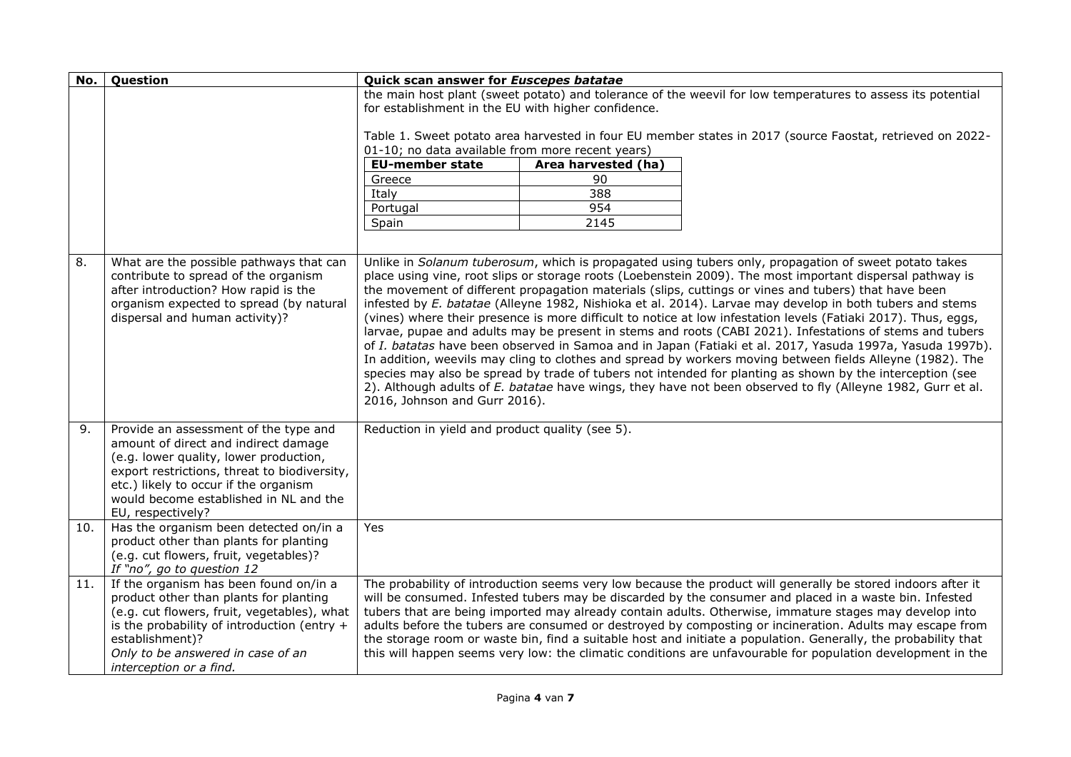| No. | Question                                                                                                                                                                                                                                                                        | Quick scan answer for Euscepes batatae                                                                                                                                                                                                                                                                                                                                                                                                                                                                                                                                                                                                                                                                                                                                                                                                                                                                                                                                                                                                                                                                                                                      |  |
|-----|---------------------------------------------------------------------------------------------------------------------------------------------------------------------------------------------------------------------------------------------------------------------------------|-------------------------------------------------------------------------------------------------------------------------------------------------------------------------------------------------------------------------------------------------------------------------------------------------------------------------------------------------------------------------------------------------------------------------------------------------------------------------------------------------------------------------------------------------------------------------------------------------------------------------------------------------------------------------------------------------------------------------------------------------------------------------------------------------------------------------------------------------------------------------------------------------------------------------------------------------------------------------------------------------------------------------------------------------------------------------------------------------------------------------------------------------------------|--|
|     |                                                                                                                                                                                                                                                                                 | the main host plant (sweet potato) and tolerance of the weevil for low temperatures to assess its potential<br>for establishment in the EU with higher confidence.                                                                                                                                                                                                                                                                                                                                                                                                                                                                                                                                                                                                                                                                                                                                                                                                                                                                                                                                                                                          |  |
|     |                                                                                                                                                                                                                                                                                 | Table 1. Sweet potato area harvested in four EU member states in 2017 (source Faostat, retrieved on 2022-<br>01-10; no data available from more recent years)                                                                                                                                                                                                                                                                                                                                                                                                                                                                                                                                                                                                                                                                                                                                                                                                                                                                                                                                                                                               |  |
|     |                                                                                                                                                                                                                                                                                 | <b>EU-member state</b><br>Area harvested (ha)                                                                                                                                                                                                                                                                                                                                                                                                                                                                                                                                                                                                                                                                                                                                                                                                                                                                                                                                                                                                                                                                                                               |  |
|     |                                                                                                                                                                                                                                                                                 | 90<br>Greece                                                                                                                                                                                                                                                                                                                                                                                                                                                                                                                                                                                                                                                                                                                                                                                                                                                                                                                                                                                                                                                                                                                                                |  |
|     |                                                                                                                                                                                                                                                                                 | Italy<br>388                                                                                                                                                                                                                                                                                                                                                                                                                                                                                                                                                                                                                                                                                                                                                                                                                                                                                                                                                                                                                                                                                                                                                |  |
|     |                                                                                                                                                                                                                                                                                 | 954<br>Portugal                                                                                                                                                                                                                                                                                                                                                                                                                                                                                                                                                                                                                                                                                                                                                                                                                                                                                                                                                                                                                                                                                                                                             |  |
|     |                                                                                                                                                                                                                                                                                 | 2145<br>Spain                                                                                                                                                                                                                                                                                                                                                                                                                                                                                                                                                                                                                                                                                                                                                                                                                                                                                                                                                                                                                                                                                                                                               |  |
|     |                                                                                                                                                                                                                                                                                 |                                                                                                                                                                                                                                                                                                                                                                                                                                                                                                                                                                                                                                                                                                                                                                                                                                                                                                                                                                                                                                                                                                                                                             |  |
| 8.  | What are the possible pathways that can<br>contribute to spread of the organism<br>after introduction? How rapid is the<br>organism expected to spread (by natural<br>dispersal and human activity)?                                                                            | Unlike in Solanum tuberosum, which is propagated using tubers only, propagation of sweet potato takes<br>place using vine, root slips or storage roots (Loebenstein 2009). The most important dispersal pathway is<br>the movement of different propagation materials (slips, cuttings or vines and tubers) that have been<br>infested by E. batatae (Alleyne 1982, Nishioka et al. 2014). Larvae may develop in both tubers and stems<br>(vines) where their presence is more difficult to notice at low infestation levels (Fatiaki 2017). Thus, eggs,<br>larvae, pupae and adults may be present in stems and roots (CABI 2021). Infestations of stems and tubers<br>of I. batatas have been observed in Samoa and in Japan (Fatiaki et al. 2017, Yasuda 1997a, Yasuda 1997b).<br>In addition, weevils may cling to clothes and spread by workers moving between fields Alleyne (1982). The<br>species may also be spread by trade of tubers not intended for planting as shown by the interception (see<br>2). Although adults of E. batatae have wings, they have not been observed to fly (Alleyne 1982, Gurr et al.<br>2016, Johnson and Gurr 2016). |  |
| 9.  | Provide an assessment of the type and<br>amount of direct and indirect damage<br>(e.g. lower quality, lower production,<br>export restrictions, threat to biodiversity,<br>etc.) likely to occur if the organism<br>would become established in NL and the<br>EU, respectively? | Reduction in yield and product quality (see 5).                                                                                                                                                                                                                                                                                                                                                                                                                                                                                                                                                                                                                                                                                                                                                                                                                                                                                                                                                                                                                                                                                                             |  |
| 10. | Has the organism been detected on/in a<br>product other than plants for planting<br>(e.g. cut flowers, fruit, vegetables)?<br>If "no", go to question 12                                                                                                                        | Yes                                                                                                                                                                                                                                                                                                                                                                                                                                                                                                                                                                                                                                                                                                                                                                                                                                                                                                                                                                                                                                                                                                                                                         |  |
| 11. | If the organism has been found on/in a<br>product other than plants for planting<br>(e.g. cut flowers, fruit, vegetables), what<br>is the probability of introduction (entry +<br>establishment)?<br>Only to be answered in case of an<br>interception or a find.               | The probability of introduction seems very low because the product will generally be stored indoors after it<br>will be consumed. Infested tubers may be discarded by the consumer and placed in a waste bin. Infested<br>tubers that are being imported may already contain adults. Otherwise, immature stages may develop into<br>adults before the tubers are consumed or destroyed by composting or incineration. Adults may escape from<br>the storage room or waste bin, find a suitable host and initiate a population. Generally, the probability that<br>this will happen seems very low: the climatic conditions are unfavourable for population development in the                                                                                                                                                                                                                                                                                                                                                                                                                                                                               |  |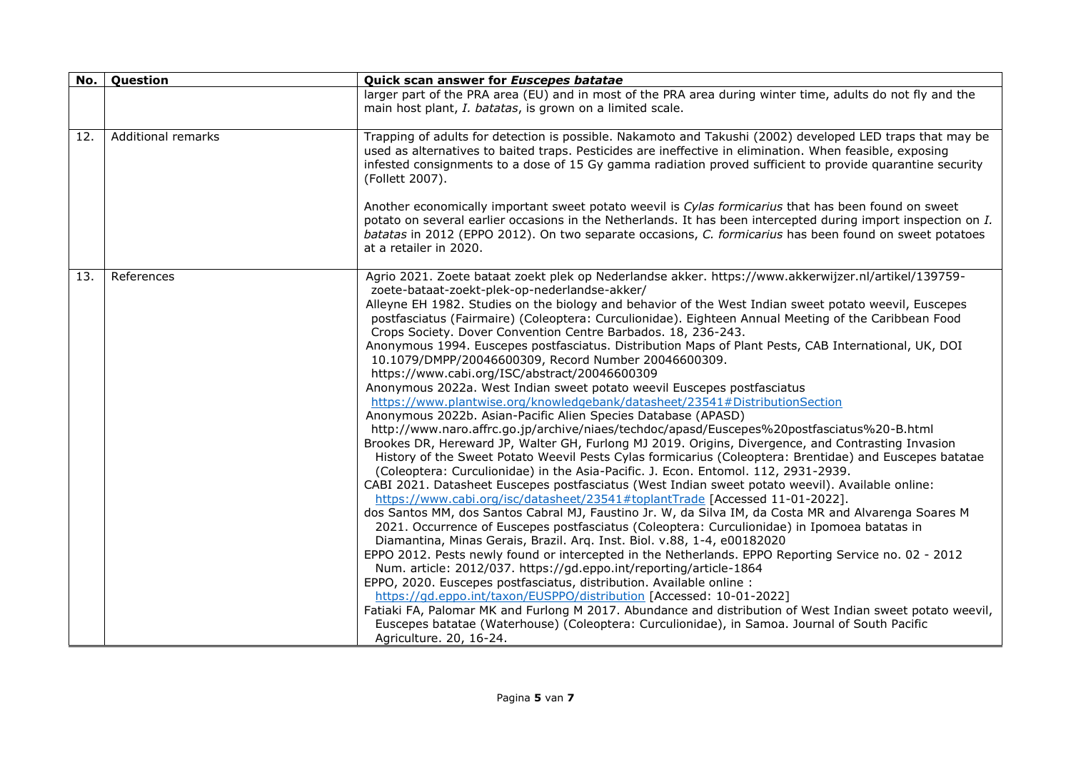| No. | Question           | Quick scan answer for Euscepes batatae                                                                                                                                                                                                                                                                                                                                                                                                                                                                                                                                                                                                                                                                                                                                                                                                                                                                                                                                                                                                                                                                                                                                                                                                                                                                                                                                                                                                                                                                                                                                                                                                                                                                                                                                                                                                                                                                                                                                                                                                                                                                                                                                                                                                                                                                                                 |
|-----|--------------------|----------------------------------------------------------------------------------------------------------------------------------------------------------------------------------------------------------------------------------------------------------------------------------------------------------------------------------------------------------------------------------------------------------------------------------------------------------------------------------------------------------------------------------------------------------------------------------------------------------------------------------------------------------------------------------------------------------------------------------------------------------------------------------------------------------------------------------------------------------------------------------------------------------------------------------------------------------------------------------------------------------------------------------------------------------------------------------------------------------------------------------------------------------------------------------------------------------------------------------------------------------------------------------------------------------------------------------------------------------------------------------------------------------------------------------------------------------------------------------------------------------------------------------------------------------------------------------------------------------------------------------------------------------------------------------------------------------------------------------------------------------------------------------------------------------------------------------------------------------------------------------------------------------------------------------------------------------------------------------------------------------------------------------------------------------------------------------------------------------------------------------------------------------------------------------------------------------------------------------------------------------------------------------------------------------------------------------------|
|     |                    | larger part of the PRA area (EU) and in most of the PRA area during winter time, adults do not fly and the<br>main host plant, I. batatas, is grown on a limited scale.                                                                                                                                                                                                                                                                                                                                                                                                                                                                                                                                                                                                                                                                                                                                                                                                                                                                                                                                                                                                                                                                                                                                                                                                                                                                                                                                                                                                                                                                                                                                                                                                                                                                                                                                                                                                                                                                                                                                                                                                                                                                                                                                                                |
| 12. | Additional remarks | Trapping of adults for detection is possible. Nakamoto and Takushi (2002) developed LED traps that may be<br>used as alternatives to baited traps. Pesticides are ineffective in elimination. When feasible, exposing<br>infested consignments to a dose of 15 Gy gamma radiation proved sufficient to provide quarantine security<br>(Follett 2007).                                                                                                                                                                                                                                                                                                                                                                                                                                                                                                                                                                                                                                                                                                                                                                                                                                                                                                                                                                                                                                                                                                                                                                                                                                                                                                                                                                                                                                                                                                                                                                                                                                                                                                                                                                                                                                                                                                                                                                                  |
|     |                    | Another economically important sweet potato weevil is Cylas formicarius that has been found on sweet<br>potato on several earlier occasions in the Netherlands. It has been intercepted during import inspection on I.<br>batatas in 2012 (EPPO 2012). On two separate occasions, C. formicarius has been found on sweet potatoes<br>at a retailer in 2020.                                                                                                                                                                                                                                                                                                                                                                                                                                                                                                                                                                                                                                                                                                                                                                                                                                                                                                                                                                                                                                                                                                                                                                                                                                                                                                                                                                                                                                                                                                                                                                                                                                                                                                                                                                                                                                                                                                                                                                            |
| 13. | References         | Agrio 2021. Zoete bataat zoekt plek op Nederlandse akker. https://www.akkerwijzer.nl/artikel/139759-<br>zoete-bataat-zoekt-plek-op-nederlandse-akker/<br>Alleyne EH 1982. Studies on the biology and behavior of the West Indian sweet potato weevil, Euscepes<br>postfasciatus (Fairmaire) (Coleoptera: Curculionidae). Eighteen Annual Meeting of the Caribbean Food<br>Crops Society. Dover Convention Centre Barbados. 18, 236-243.<br>Anonymous 1994. Euscepes postfasciatus. Distribution Maps of Plant Pests, CAB International, UK, DOI<br>10.1079/DMPP/20046600309, Record Number 20046600309.<br>https://www.cabi.org/ISC/abstract/20046600309<br>Anonymous 2022a. West Indian sweet potato weevil Euscepes postfasciatus<br>https://www.plantwise.org/knowledgebank/datasheet/23541#DistributionSection<br>Anonymous 2022b. Asian-Pacific Alien Species Database (APASD)<br>http://www.naro.affrc.go.jp/archive/niaes/techdoc/apasd/Euscepes%20postfasciatus%20-B.html<br>Brookes DR, Hereward JP, Walter GH, Furlong MJ 2019. Origins, Divergence, and Contrasting Invasion<br>History of the Sweet Potato Weevil Pests Cylas formicarius (Coleoptera: Brentidae) and Euscepes batatae<br>(Coleoptera: Curculionidae) in the Asia-Pacific. J. Econ. Entomol. 112, 2931-2939.<br>CABI 2021. Datasheet Euscepes postfasciatus (West Indian sweet potato weevil). Available online:<br>https://www.cabi.org/isc/datasheet/23541#toplantTrade [Accessed 11-01-2022].<br>dos Santos MM, dos Santos Cabral MJ, Faustino Jr. W, da Silva IM, da Costa MR and Alvarenga Soares M<br>2021. Occurrence of Euscepes postfasciatus (Coleoptera: Curculionidae) in Ipomoea batatas in<br>Diamantina, Minas Gerais, Brazil. Arq. Inst. Biol. v.88, 1-4, e00182020<br>EPPO 2012. Pests newly found or intercepted in the Netherlands. EPPO Reporting Service no. 02 - 2012<br>Num. article: 2012/037. https://gd.eppo.int/reporting/article-1864<br>EPPO, 2020. Euscepes postfasciatus, distribution. Available online :<br>https://qd.eppo.int/taxon/EUSPPO/distribution [Accessed: 10-01-2022]<br>Fatiaki FA, Palomar MK and Furlong M 2017. Abundance and distribution of West Indian sweet potato weevil,<br>Euscepes batatae (Waterhouse) (Coleoptera: Curculionidae), in Samoa. Journal of South Pacific<br>Agriculture. 20, 16-24. |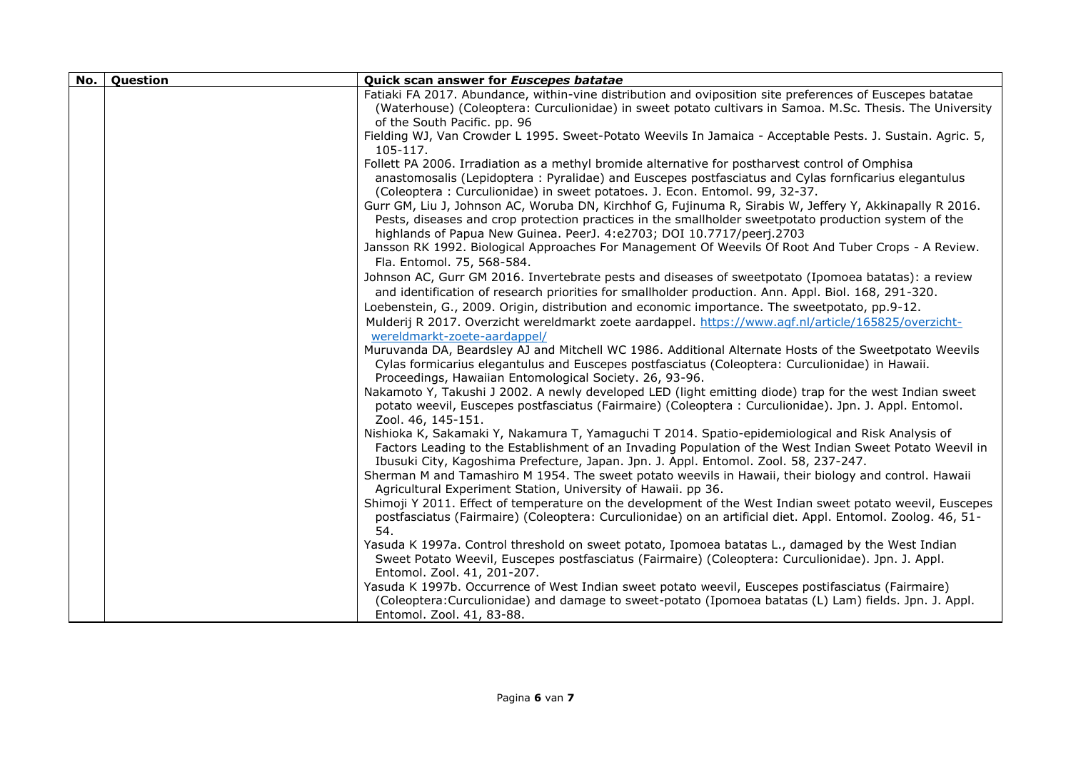| No. | Question | Quick scan answer for Euscepes batatae                                                                                                                                                                                                                                                                                                                                                                                                                                                                                                                                                                                                                                                                                     |
|-----|----------|----------------------------------------------------------------------------------------------------------------------------------------------------------------------------------------------------------------------------------------------------------------------------------------------------------------------------------------------------------------------------------------------------------------------------------------------------------------------------------------------------------------------------------------------------------------------------------------------------------------------------------------------------------------------------------------------------------------------------|
|     |          | Fatiaki FA 2017. Abundance, within-vine distribution and oviposition site preferences of Euscepes batatae<br>(Waterhouse) (Coleoptera: Curculionidae) in sweet potato cultivars in Samoa. M.Sc. Thesis. The University<br>of the South Pacific. pp. 96                                                                                                                                                                                                                                                                                                                                                                                                                                                                     |
|     |          | Fielding WJ, Van Crowder L 1995. Sweet-Potato Weevils In Jamaica - Acceptable Pests. J. Sustain. Agric. 5,<br>105-117.                                                                                                                                                                                                                                                                                                                                                                                                                                                                                                                                                                                                     |
|     |          | Follett PA 2006. Irradiation as a methyl bromide alternative for postharvest control of Omphisa<br>anastomosalis (Lepidoptera: Pyralidae) and Euscepes postfasciatus and Cylas fornficarius elegantulus<br>(Coleoptera: Curculionidae) in sweet potatoes. J. Econ. Entomol. 99, 32-37.<br>Gurr GM, Liu J, Johnson AC, Woruba DN, Kirchhof G, Fujinuma R, Sirabis W, Jeffery Y, Akkinapally R 2016.<br>Pests, diseases and crop protection practices in the smallholder sweetpotato production system of the<br>highlands of Papua New Guinea. PeerJ. 4:e2703; DOI 10.7717/peerj.2703<br>Jansson RK 1992. Biological Approaches For Management Of Weevils Of Root And Tuber Crops - A Review.<br>Fla. Entomol. 75, 568-584. |
|     |          | Johnson AC, Gurr GM 2016. Invertebrate pests and diseases of sweetpotato (Ipomoea batatas): a review<br>and identification of research priorities for smallholder production. Ann. Appl. Biol. 168, 291-320.                                                                                                                                                                                                                                                                                                                                                                                                                                                                                                               |
|     |          | Loebenstein, G., 2009. Origin, distribution and economic importance. The sweetpotato, pp.9-12.<br>Mulderij R 2017. Overzicht wereldmarkt zoete aardappel. https://www.agf.nl/article/165825/overzicht-                                                                                                                                                                                                                                                                                                                                                                                                                                                                                                                     |
|     |          | wereldmarkt-zoete-aardappel/<br>Muruvanda DA, Beardsley AJ and Mitchell WC 1986. Additional Alternate Hosts of the Sweetpotato Weevils<br>Cylas formicarius elegantulus and Euscepes postfasciatus (Coleoptera: Curculionidae) in Hawaii.<br>Proceedings, Hawaiian Entomological Society. 26, 93-96.                                                                                                                                                                                                                                                                                                                                                                                                                       |
|     |          | Nakamoto Y, Takushi J 2002. A newly developed LED (light emitting diode) trap for the west Indian sweet<br>potato weevil, Euscepes postfasciatus (Fairmaire) (Coleoptera : Curculionidae). Jpn. J. Appl. Entomol.<br>Zool. 46, 145-151.                                                                                                                                                                                                                                                                                                                                                                                                                                                                                    |
|     |          | Nishioka K, Sakamaki Y, Nakamura T, Yamaguchi T 2014. Spatio-epidemiological and Risk Analysis of<br>Factors Leading to the Establishment of an Invading Population of the West Indian Sweet Potato Weevil in<br>Ibusuki City, Kagoshima Prefecture, Japan. Jpn. J. Appl. Entomol. Zool. 58, 237-247.                                                                                                                                                                                                                                                                                                                                                                                                                      |
|     |          | Sherman M and Tamashiro M 1954. The sweet potato weevils in Hawaii, their biology and control. Hawaii<br>Agricultural Experiment Station, University of Hawaii. pp 36.                                                                                                                                                                                                                                                                                                                                                                                                                                                                                                                                                     |
|     |          | Shimoji Y 2011. Effect of temperature on the development of the West Indian sweet potato weevil, Euscepes<br>postfasciatus (Fairmaire) (Coleoptera: Curculionidae) on an artificial diet. Appl. Entomol. Zoolog. 46, 51-<br>54.                                                                                                                                                                                                                                                                                                                                                                                                                                                                                            |
|     |          | Yasuda K 1997a. Control threshold on sweet potato, Ipomoea batatas L., damaged by the West Indian<br>Sweet Potato Weevil, Euscepes postfasciatus (Fairmaire) (Coleoptera: Curculionidae). Jpn. J. Appl.<br>Entomol. Zool. 41, 201-207.                                                                                                                                                                                                                                                                                                                                                                                                                                                                                     |
|     |          | Yasuda K 1997b. Occurrence of West Indian sweet potato weevil, Euscepes postifasciatus (Fairmaire)<br>(Coleoptera: Curculionidae) and damage to sweet-potato (Ipomoea batatas (L) Lam) fields. Jpn. J. Appl.<br>Entomol. Zool. 41, 83-88.                                                                                                                                                                                                                                                                                                                                                                                                                                                                                  |